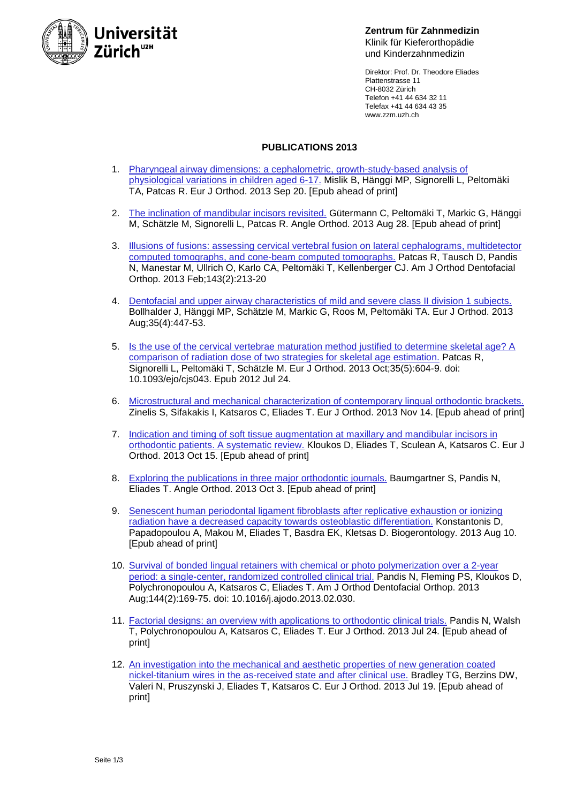

**Zentrum für Zahnmedizin** Klinik für Kieferorthopädie und Kinderzahnmedizin

Direktor: Prof. Dr. Theodore Eliades Plattenstrasse 11 CH-8032 Zürich Telefon +41 44 634 32 11 Telefax +41 44 634 43 35 www.zzm.uzh.ch

## **PUBLICATIONS 2013**

- 1. [Pharyngeal airway dimensions: a cephalometric, growth-study-based analysis of](http://www.ncbi.nlm.nih.gov/pubmed/24058163)  [physiological variations in children aged 6-17.](http://www.ncbi.nlm.nih.gov/pubmed/24058163) Mislik B, Hänggi MP, Signorelli L, Peltomäki TA, Patcas R. Eur J Orthod. 2013 Sep 20. [Epub ahead of print]
- 2. [The inclination of mandibular incisors revisited.](http://www.ncbi.nlm.nih.gov/pubmed/23985035) Gütermann C, Peltomäki T, Markic G, Hänggi M, Schätzle M, Signorelli L, Patcas R. Angle Orthod. 2013 Aug 28. [Epub ahead of print]
- 3. [Illusions of fusions: assessing cervical vertebral fusion on lateral cephalograms, multidetector](http://www.ncbi.nlm.nih.gov/pubmed/23374928)  [computed tomographs, and cone-beam computed tomographs.](http://www.ncbi.nlm.nih.gov/pubmed/23374928) Patcas R, Tausch D, Pandis N, Manestar M, Ullrich O, Karlo CA, Peltomäki T, Kellenberger CJ. Am J Orthod Dentofacial Orthop. 2013 Feb;143(2):213-20
- 4. De[ntofacial and upper airway characteristics of mild and severe class II division 1 subjects.](http://www.ncbi.nlm.nih.gov/pubmed/22427406) Bollhalder J, Hänggi MP, Schätzle M, Markic G, Roos M, Peltomäki TA. Eur J Orthod. 2013 Aug;35(4):447-53.
- 5. [Is the use of the cervical vertebrae maturation method justified to determine skeletal age? A](http://www.ncbi.nlm.nih.gov/pubmed/22828078)  [comparison of radiation dose of two strategies for skeletal age estimation.](http://www.ncbi.nlm.nih.gov/pubmed/22828078) Patcas R, Signorelli L, Peltomäki T, Schätzle M. Eur J Orthod. 2013 Oct;35(5):604-9. doi: 10.1093/ejo/cjs043. Epub 2012 Jul 24.
- 6. [Microstructural and mechanical characterization of contemporary lingual orthodontic brackets.](http://www.ncbi.nlm.nih.gov/pubmed/24232131) Zinelis S, Sifakakis I, Katsaros C, Eliades T. Eur J Orthod. 2013 Nov 14. [Epub ahead of print]
- 7. [Indication and timing of soft tissue augmentation at maxillary and mandibular incisors in](http://www.ncbi.nlm.nih.gov/pubmed/24132403)  [orthodontic patients. A systematic review.](http://www.ncbi.nlm.nih.gov/pubmed/24132403) Kloukos D, Eliades T, Sculean A, Katsaros C. Eur J Orthod. 2013 Oct 15. [Epub ahead of print]
- 8. [Exploring the publications in three major orthodontic journals.](http://www.ncbi.nlm.nih.gov/pubmed/24090122) Baumgartner S, Pandis N, Eliades T. Angle Orthod. 2013 Oct 3. [Epub ahead of print]
- 9. [Senescent human periodontal ligament fibroblasts after replicative exhaustion or ionizing](http://www.ncbi.nlm.nih.gov/pubmed/23934584)  [radiation have a decreased capacity towards osteoblastic differentiation.](http://www.ncbi.nlm.nih.gov/pubmed/23934584) Konstantonis D, Papadopoulou A, Makou M, Eliades T, Basdra EK, Kletsas D. Biogerontology. 2013 Aug 10. [Epub ahead of print]
- 10. Survival of bonded [lingual retainers with chemical or photo polymerization over a 2-year](http://www.ncbi.nlm.nih.gov/pubmed/23910197)  [period: a single-center, randomized controlled clinical trial.](http://www.ncbi.nlm.nih.gov/pubmed/23910197) Pandis N, Fleming PS, Kloukos D, Polychronopoulou A, Katsaros C, Eliades T. Am J Orthod Dentofacial Orthop. 2013 Aug;144(2):169-75. doi: 10.1016/j.ajodo.2013.02.030.
- 11. [Factorial designs: an overview with applications to orthodontic clinical trials.](http://www.ncbi.nlm.nih.gov/pubmed/23885023) Pandis N, Walsh T, Polychronopoulou A, Katsaros C, Eliades T. Eur J Orthod. 2013 Jul 24. [Epub ahead of print]
- 12. [An investigation into the mechanical and aesthetic properties of new generation coated](http://www.ncbi.nlm.nih.gov/pubmed/23873791)  [nickel-titanium wires in the as-received state and after clinical use.](http://www.ncbi.nlm.nih.gov/pubmed/23873791) Bradley TG, Berzins DW, Valeri N, Pruszynski J, Eliades T, Katsaros C. Eur J Orthod. 2013 Jul 19. [Epub ahead of print]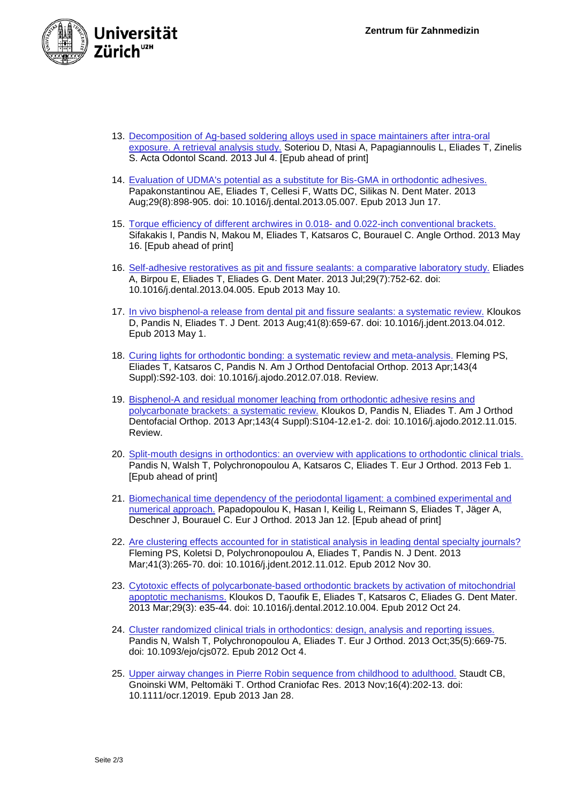

- 13. [Decomposition of Ag-based soldering alloys used in space maintainers after](http://www.ncbi.nlm.nih.gov/pubmed/23822908) intra-oral [exposure. A retrieval analysis study.](http://www.ncbi.nlm.nih.gov/pubmed/23822908) Soteriou D, Ntasi A, Papagiannoulis L, Eliades T, Zinelis S. Acta Odontol Scand. 2013 Jul 4. [Epub ahead of print]
- 14. [Evaluation of UDMA's potential as a substitute for Bis-GMA in orthodontic adhesives.](http://www.ncbi.nlm.nih.gov/pubmed/23787036) Papakonstantinou AE, Eliades T, Cellesi F, Watts DC, Silikas N. Dent Mater. 2013 Aug;29(8):898-905. doi: 10.1016/j.dental.2013.05.007. Epub 2013 Jun 17.
- 15. [Torque efficiency of different archwires in 0.018-](http://www.ncbi.nlm.nih.gov/pubmed/23678999) and 0.022-inch conventional brackets. Sifakakis I, Pandis N, Makou M, Eliades T, Katsaros C, Bourauel C. Angle Orthod. 2013 May 16. [Epub ahead of print]
- 16. [Self-adhesive restoratives as pit and fissure sealants: a comparative laboratory study.](http://www.ncbi.nlm.nih.gov/pubmed/23669197) Eliades A, Birpou E, Eliades T, Eliades G. Dent Mater. 2013 Jul;29(7):752-62. doi: 10.1016/j.dental.2013.04.005. Epub 2013 May 10.
- 17. [In vivo bisphenol-a release from dental pit and fissure sealants: a systematic review.](http://www.ncbi.nlm.nih.gov/pubmed/23643847) Kloukos D, Pandis N, Eliades T. J Dent. 2013 Aug;41(8):659-67. doi: 10.1016/j.jdent.2013.04.012. Epub 2013 May 1.
- 18. [Curing lights for orthodontic bonding: a systematic review and meta-analysis.](http://www.ncbi.nlm.nih.gov/pubmed/23540642) Fleming PS, Eliades T, Katsaros C, Pandis N. Am J Orthod Dentofacial Orthop. 2013 Apr;143(4 Suppl):S92-103. doi: 10.1016/j.ajodo.2012.07.018. Review.
- 19. [Bisphenol-A and residual monomer leaching from orthodontic adhesive resins and](http://www.ncbi.nlm.nih.gov/pubmed/23540625)  [polycarbonate brackets: a systematic review.](http://www.ncbi.nlm.nih.gov/pubmed/23540625) Kloukos D, Pandis N, Eliades T. Am J Orthod Dentofacial Orthop. 2013 Apr;143(4 Suppl):S104-12.e1-2. doi: 10.1016/j.ajodo.2012.11.015. Review.
- 20. [Split-mouth designs in orthodontics: an overview with applications to orthodontic clinical trials.](http://www.ncbi.nlm.nih.gov/pubmed/23376899) Pandis N, Walsh T, Polychronopoulou A, Katsaros C, Eliades T. Eur J Orthod. 2013 Feb 1. [Epub ahead of print]
- 21. [Biomechanical time dependency of the periodontal ligament: a combined experimental and](http://www.ncbi.nlm.nih.gov/pubmed/23314330)  [numerical approach.](http://www.ncbi.nlm.nih.gov/pubmed/23314330) Papadopoulou K, Hasan I, Keilig L, Reimann S, Eliades T, Jäger A, Deschner J, Bourauel C. Eur J Orthod. 2013 Jan 12. [Epub ahead of print]
- 22. [Are clustering effects accounted for in statistical analysis in leading dental specialty journals?](http://www.ncbi.nlm.nih.gov/pubmed/23201411) Fleming PS, Koletsi D, Polychronopoulou A, Eliades T, Pandis N. J Dent. 2013 Mar;41(3):265-70. doi: 10.1016/j.jdent.2012.11.012. Epub 2012 Nov 30.
- 23. [Cytotoxic effects of polycarbonate-based orthodontic brackets by activation of mitochondrial](http://www.ncbi.nlm.nih.gov/pubmed/23103048)  [apoptotic mechanisms.](http://www.ncbi.nlm.nih.gov/pubmed/23103048) Kloukos D, Taoufik E, Eliades T, Katsaros C, Eliades G. Dent Mater. 2013 Mar;29(3): e35-44. doi: 10.1016/j.dental.2012.10.004. Epub 2012 Oct 24.
- 24. [Cluster randomized clinical trials in orthodontics: design, analysis and reporting issues.](http://www.ncbi.nlm.nih.gov/pubmed/23041934) Pandis N, Walsh T, Polychronopoulou A, Eliades T. Eur J Orthod. 2013 Oct;35(5):669-75. doi: 10.1093/ejo/cjs072. Epub 2012 Oct 4.
- 25. [Upper airway changes in Pierre Robin sequence from childhood to adulthood.](http://www.ncbi.nlm.nih.gov/pubmed/23350818) Staudt CB, Gnoinski WM, Peltomäki T. Orthod Craniofac Res. 2013 Nov;16(4):202-13. doi: 10.1111/ocr.12019. Epub 2013 Jan 28.